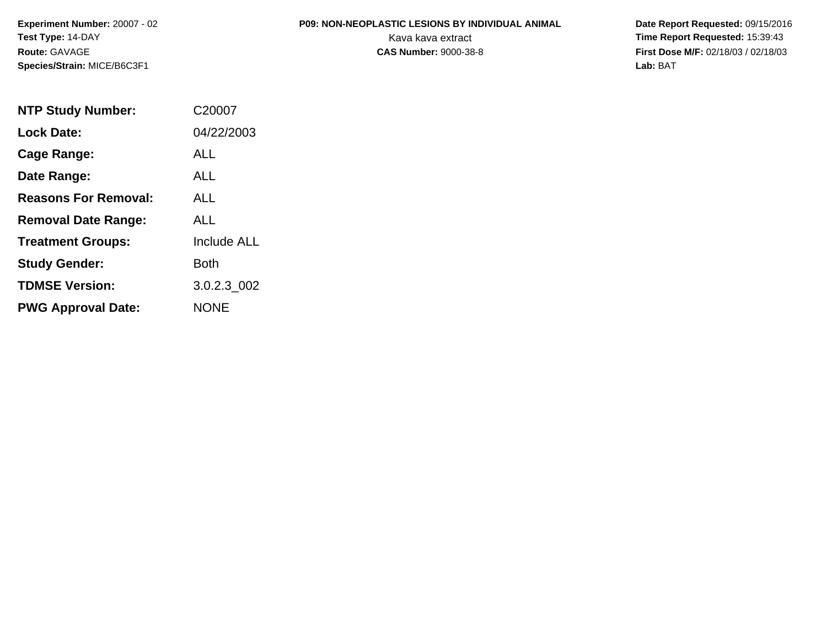### **P09: NON-NEOPLASTIC LESIONS BY INDIVIDUAL ANIMAL**

 **Date Report Requested:** 09/15/2016 Kava kava extract **Time Report Requested:** 15:39:43<br>**CAS Number:** 9000-38-8 **Time Report Requested:** 15:39:43 **First Dose M/F:** 02/18/03 / 02/18/03<br>Lab: BAT **Lab:** BAT

| <b>NTP Study Number:</b>    | C <sub>20007</sub> |
|-----------------------------|--------------------|
| <b>Lock Date:</b>           | 04/22/2003         |
| Cage Range:                 | ALL                |
| Date Range:                 | ALL                |
| <b>Reasons For Removal:</b> | AI I               |
| <b>Removal Date Range:</b>  | ALL                |
| <b>Treatment Groups:</b>    | <b>Include ALL</b> |
| <b>Study Gender:</b>        | Both               |
| <b>TDMSE Version:</b>       | 3.0.2.3_002        |
| <b>PWG Approval Date:</b>   | <b>NONE</b>        |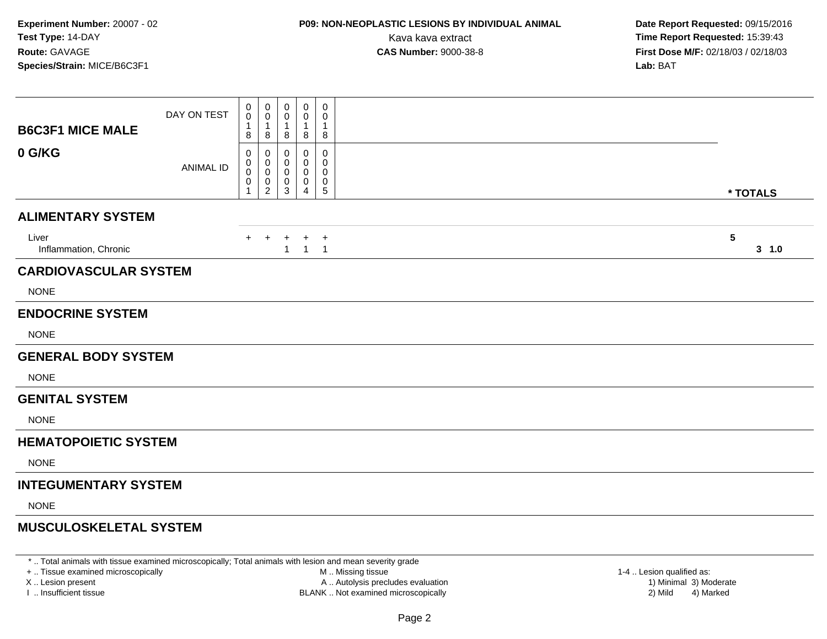### **P09: NON-NEOPLASTIC LESIONS BY INDIVIDUAL ANIMAL**

 **Date Report Requested:** 09/15/2016 Kava kava extract **Time Report Requested:** 15:39:43<br>**CAS Number:** 9000-38-8 **Time Report Requested:** 15:39:43 **First Dose M/F:** 02/18/03 / 02/18/03<br>**Lab:** BAT **Lab:** BAT

| <b>B6C3F1 MICE MALE</b>        | DAY ON TEST      | $\,0\,$<br>0<br>-1<br>8          | $\boldsymbol{0}$<br>0<br>$\mathbf{1}$<br>8         | 0<br>0<br>8                  | $\mathbf 0$<br>0<br>1<br>8  | 0<br>0<br>1<br>8                    |                          |
|--------------------------------|------------------|----------------------------------|----------------------------------------------------|------------------------------|-----------------------------|-------------------------------------|--------------------------|
| 0 G/KG                         | <b>ANIMAL ID</b> | 0<br>0<br>$\mathbf 0$<br>0<br>-1 | 0<br>0<br>$\mathbf 0$<br>$\,0\,$<br>$\overline{2}$ | $\Omega$<br>0<br>0<br>0<br>3 | 0<br>0<br>0<br>0<br>4       | 0<br>0<br>0<br>0<br>$5\phantom{.0}$ | * TOTALS                 |
| <b>ALIMENTARY SYSTEM</b>       |                  |                                  |                                                    |                              |                             |                                     |                          |
| Liver<br>Inflammation, Chronic |                  | $+$                              | $^{+}$                                             | $\ddot{}$<br>$\mathbf{1}$    | $\ddot{}$<br>$\overline{1}$ | $+$<br>$\overline{1}$               | $5\phantom{.0}$<br>3 1.0 |
| <b>CARDIOVASCULAR SYSTEM</b>   |                  |                                  |                                                    |                              |                             |                                     |                          |
| <b>NONE</b>                    |                  |                                  |                                                    |                              |                             |                                     |                          |
| <b>ENDOCRINE SYSTEM</b>        |                  |                                  |                                                    |                              |                             |                                     |                          |
| <b>NONE</b>                    |                  |                                  |                                                    |                              |                             |                                     |                          |
| <b>GENERAL BODY SYSTEM</b>     |                  |                                  |                                                    |                              |                             |                                     |                          |
| <b>NONE</b>                    |                  |                                  |                                                    |                              |                             |                                     |                          |
| <b>GENITAL SYSTEM</b>          |                  |                                  |                                                    |                              |                             |                                     |                          |
| <b>NONE</b>                    |                  |                                  |                                                    |                              |                             |                                     |                          |
| <b>HEMATOPOIETIC SYSTEM</b>    |                  |                                  |                                                    |                              |                             |                                     |                          |
| <b>NONE</b>                    |                  |                                  |                                                    |                              |                             |                                     |                          |
| <b>INTEGUMENTARY SYSTEM</b>    |                  |                                  |                                                    |                              |                             |                                     |                          |
| <b>NONE</b>                    |                  |                                  |                                                    |                              |                             |                                     |                          |
| <b>MUSCULOSKELETAL SYSTEM</b>  |                  |                                  |                                                    |                              |                             |                                     |                          |

\* .. Total animals with tissue examined microscopically; Total animals with lesion and mean severity grade

+ .. Tissue examined microscopically

X .. Lesion present

I .. Insufficient tissue

 M .. Missing tissueLesion present A .. Autolysis precludes evaluation 1) Minimal 3) Moderate

1-4 .. Lesion qualified as:<br>1) Minimal 3) Moderate BLANK .. Not examined microscopically 2) Mild 4) Marked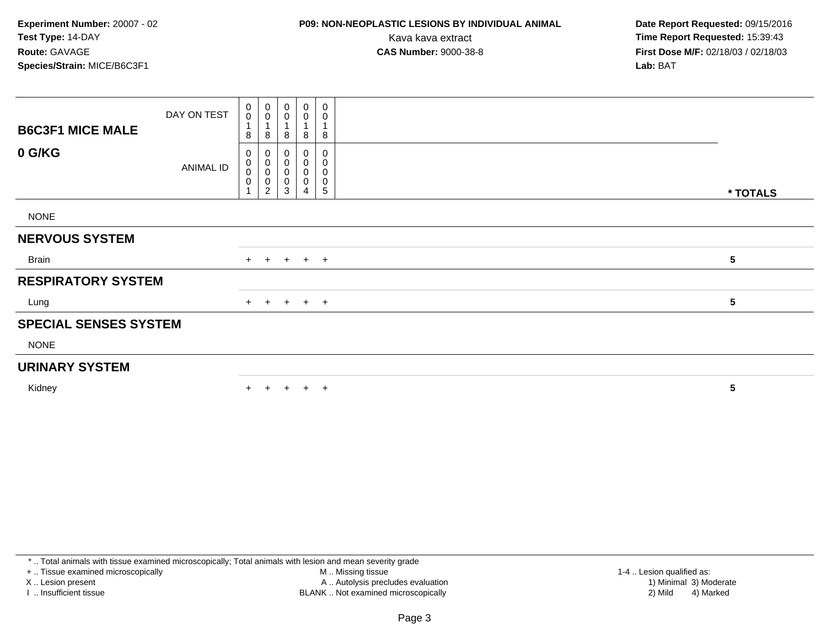# **P09: NON-NEOPLASTIC LESIONS BY INDIVIDUAL ANIMAL**

 **Date Report Requested:** 09/15/2016 Kava kava extract **Time Report Requested:** 15:39:43<br>**CAS Number:** 9000-38-8 **Time Report Requested:** 15:39:43 **First Dose M/F:** 02/18/03 / 02/18/03<br>**Lab:** BAT **Lab:** BAT

| <b>B6C3F1 MICE MALE</b>      | DAY ON TEST | $\pmb{0}$<br>$\pmb{0}$<br>$\mathbf 1$<br>8 | $\mathbf 0$<br>$\mathbf 0$<br>8  | $_{\rm 0}^{\rm 0}$<br>8        | $\pmb{0}$<br>$\mathsf 0$<br>8 | $\mathbf 0$<br>$\mathbf 0$<br>8                    |           |          |
|------------------------------|-------------|--------------------------------------------|----------------------------------|--------------------------------|-------------------------------|----------------------------------------------------|-----------|----------|
| 0 G/KG                       | ANIMAL ID   | 0<br>$\pmb{0}$<br>$\pmb{0}$<br>$\pmb{0}$   | $\pmb{0}$<br>$\pmb{0}$<br>0<br>2 | $\,0\,$<br>$\pmb{0}$<br>0<br>3 | 0<br>0<br>$\pmb{0}$<br>0<br>4 | 0<br>0<br>$\mathbf 0$<br>$\mathbf 0$<br>$\sqrt{5}$ |           | * TOTALS |
| <b>NONE</b>                  |             |                                            |                                  |                                |                               |                                                    |           |          |
| <b>NERVOUS SYSTEM</b>        |             |                                            |                                  |                                |                               |                                                    |           |          |
| Brain                        |             |                                            |                                  |                                | + + + + +                     |                                                    | ${\bf 5}$ |          |
| <b>RESPIRATORY SYSTEM</b>    |             |                                            |                                  |                                |                               |                                                    |           |          |
| Lung                         |             |                                            |                                  |                                | + + + + +                     |                                                    | 5         |          |
| <b>SPECIAL SENSES SYSTEM</b> |             |                                            |                                  |                                |                               |                                                    |           |          |
| <b>NONE</b>                  |             |                                            |                                  |                                |                               |                                                    |           |          |
| <b>URINARY SYSTEM</b>        |             |                                            |                                  |                                |                               |                                                    |           |          |
| Kidney                       |             | $+$                                        | $\ddot{}$                        | $+$                            | $+$ $+$                       |                                                    | 5         |          |

\* .. Total animals with tissue examined microscopically; Total animals with lesion and mean severity grade

+ .. Tissue examined microscopically

X .. Lesion present

I .. Insufficient tissue

 M .. Missing tissueLesion present A .. Autolysis precludes evaluation 1) Minimal 3) Moderate

BLANK .. Not examined microscopically 2) Mild 4) Marked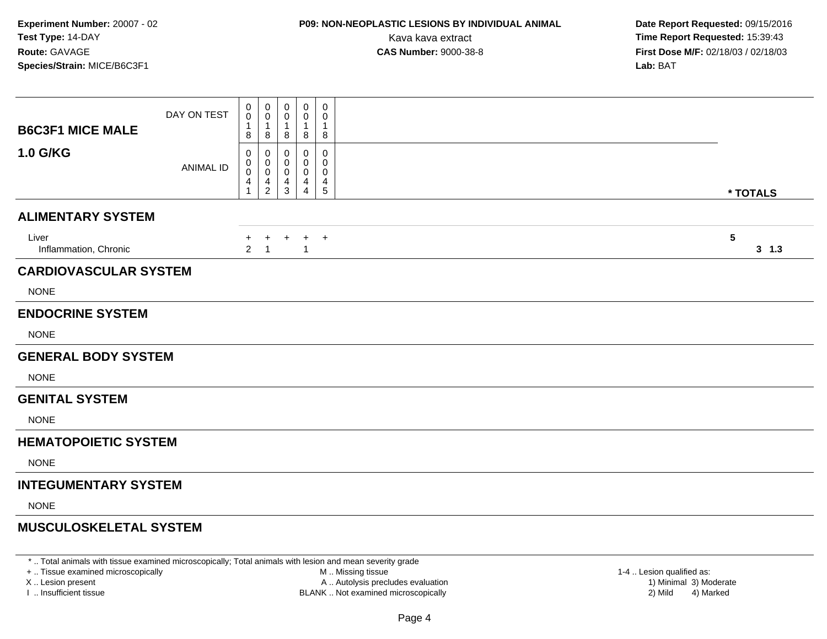### **P09: NON-NEOPLASTIC LESIONS BY INDIVIDUAL ANIMAL**

 **Date Report Requested:** 09/15/2016 Kava kava extract **Time Report Requested:** 15:39:43<br>**CAS Number:** 9000-38-8 **Time Report Requested:** 15:39:43 **First Dose M/F:** 02/18/03 / 02/18/03<br>**Lab:** BAT **Lab:** BAT

| <b>B6C3F1 MICE MALE</b>        | DAY ON TEST      | 0<br>$\pmb{0}$<br>8        | $\pmb{0}$<br>$\mathbf 0$<br>$\mathbf{1}$<br>8 | 0<br>0<br>-1<br>8     | 0<br>0<br>1<br>8                | $\pmb{0}$<br>0<br>1<br>8       |                                   |
|--------------------------------|------------------|----------------------------|-----------------------------------------------|-----------------------|---------------------------------|--------------------------------|-----------------------------------|
| <b>1.0 G/KG</b>                | <b>ANIMAL ID</b> | 0<br>0<br>$\mathbf 0$<br>4 | 0<br>0<br>$\pmb{0}$<br>4<br>$\overline{2}$    | 0<br>0<br>0<br>4<br>3 | 0<br>0<br>$\mathbf 0$<br>4<br>4 | 0<br>0<br>0<br>4<br>$\sqrt{5}$ | * TOTALS                          |
| <b>ALIMENTARY SYSTEM</b>       |                  |                            |                                               |                       |                                 |                                |                                   |
| Liver<br>Inflammation, Chronic |                  | $+$<br>$\overline{2}$      | $\ddot{}$<br>$\overline{1}$                   | $\ddot{}$             | $\ddot{}$<br>$\overline{1}$     | $+$                            | $\overline{\mathbf{5}}$<br>3, 1.3 |
| <b>CARDIOVASCULAR SYSTEM</b>   |                  |                            |                                               |                       |                                 |                                |                                   |
| <b>NONE</b>                    |                  |                            |                                               |                       |                                 |                                |                                   |
| <b>ENDOCRINE SYSTEM</b>        |                  |                            |                                               |                       |                                 |                                |                                   |
| <b>NONE</b>                    |                  |                            |                                               |                       |                                 |                                |                                   |
| <b>GENERAL BODY SYSTEM</b>     |                  |                            |                                               |                       |                                 |                                |                                   |
| <b>NONE</b>                    |                  |                            |                                               |                       |                                 |                                |                                   |
| <b>GENITAL SYSTEM</b>          |                  |                            |                                               |                       |                                 |                                |                                   |
| <b>NONE</b>                    |                  |                            |                                               |                       |                                 |                                |                                   |
| <b>HEMATOPOIETIC SYSTEM</b>    |                  |                            |                                               |                       |                                 |                                |                                   |
| <b>NONE</b>                    |                  |                            |                                               |                       |                                 |                                |                                   |
| <b>INTEGUMENTARY SYSTEM</b>    |                  |                            |                                               |                       |                                 |                                |                                   |
| <b>NONE</b>                    |                  |                            |                                               |                       |                                 |                                |                                   |
| <b>MUSCULOSKELETAL SYSTEM</b>  |                  |                            |                                               |                       |                                 |                                |                                   |

\* .. Total animals with tissue examined microscopically; Total animals with lesion and mean severity grade

+ .. Tissue examined microscopically

X .. Lesion present

I .. Insufficient tissue

 M .. Missing tissueA .. Autolysis precludes evaluation 1999 (1999) 1999 (1999) 1999 (1999) 1999 (1999) 1999 (1999) 1999 (1999) 1<br>1) Minimal 3) Mild 3) Mild 3) Mild 3) Mild 3, 2009 (1999) 1999 (1999) 1999 (1999) 1999 (1999) 1999 (1999) 199

 1-4 .. Lesion qualified as: BLANK .. Not examined microscopically 2) Mild 4) Marked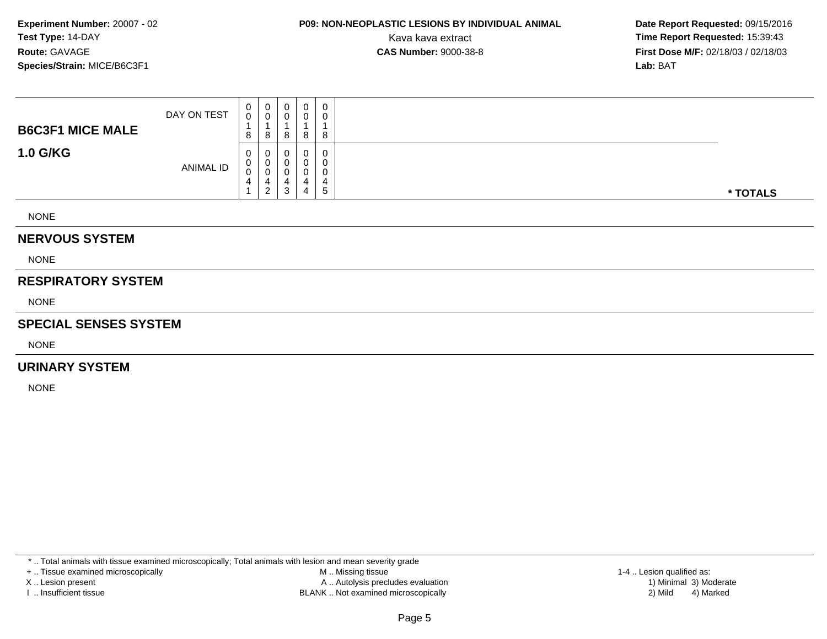### **P09: NON-NEOPLASTIC LESIONS BY INDIVIDUAL ANIMAL**

 **Date Report Requested:** 09/15/2016 Kava kava extract **Time Report Requested:** 15:39:43<br>**CAS Number:** 9000-38-8 **Time Report Requested:** 15:39:43 **First Dose M/F:** 02/18/03 / 02/18/03<br>**Lab:** BAT **Lab:** BAT

| <b>NEDVALIC CVCTEM</b>  |             |                                             |        |   |                  |                                |          |
|-------------------------|-------------|---------------------------------------------|--------|---|------------------|--------------------------------|----------|
| <b>NONE</b>             |             |                                             |        |   |                  |                                |          |
| <b>1.0 G/KG</b>         | ANIMAL ID   | 0<br>0<br>0<br>4<br>$\overline{\mathbf{A}}$ | υ<br>2 | د | 0<br>4           | 0<br>0<br>0<br>4<br>$\sqrt{5}$ | * TOTALS |
| <b>B6C3F1 MICE MALE</b> | DAY ON TEST | 0<br>0<br>8                                 | U<br>8 | O | $\mathbf 0$<br>8 | 0<br>0<br>8                    |          |

#### **NERVOUS SYSTEM**

**NONE** 

### **RESPIRATORY SYSTEM**

NONE

#### **SPECIAL SENSES SYSTEM**

NONE

#### **URINARY SYSTEM**

NONE

\* .. Total animals with tissue examined microscopically; Total animals with lesion and mean severity grade

+ .. Tissue examined microscopically

X .. Lesion present

I .. Insufficient tissue

 M .. Missing tissueA .. Autolysis precludes evaluation

BLANK .. Not examined microscopically 2) Mild 4) Marked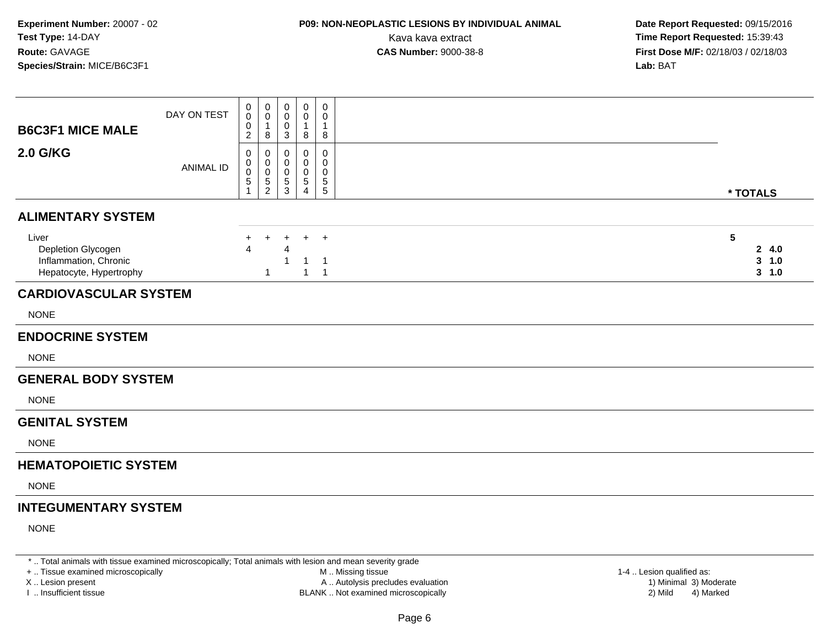### **P09: NON-NEOPLASTIC LESIONS BY INDIVIDUAL ANIMAL**

 **Date Report Requested:** 09/15/2016 Kava kava extract **Time Report Requested:** 15:39:43<br>**CAS Number:** 9000-38-8 **Time Report Requested:** 15:39:43 **First Dose M/F:** 02/18/03 / 02/18/03<br>**Lab:** BAT **Lab:** BAT

| <b>B6C3F1 MICE MALE</b>                                                         | DAY ON TEST      | 0<br>0<br>0<br>$\overline{c}$           | 0<br>$\mathbf 0$<br>$\mathbf{1}$<br>8                                          | $\mathbf 0$<br>0<br>$\mathbf 0$<br>3 | 0<br>0<br>$\mathbf{1}$<br>8                 | $\overline{0}$<br>0<br>$\mathbf{1}$<br>8           |                                  |
|---------------------------------------------------------------------------------|------------------|-----------------------------------------|--------------------------------------------------------------------------------|--------------------------------------|---------------------------------------------|----------------------------------------------------|----------------------------------|
| <b>2.0 G/KG</b>                                                                 | <b>ANIMAL ID</b> | 0<br>0<br>$\pmb{0}$<br>$\,$ 5 $\,$<br>1 | $\mathbf 0$<br>$\mathbf 0$<br>$\mathsf{O}\xspace$<br>$\,$ 5 $\,$<br>$\sqrt{2}$ | $\mathbf 0$<br>0<br>0<br>5<br>3      | 0<br>0<br>0<br>$\sqrt{5}$<br>$\overline{4}$ | $\mathbf 0$<br>0<br>0<br>$\sqrt{5}$<br>$\,$ 5 $\,$ | * TOTALS                         |
| <b>ALIMENTARY SYSTEM</b>                                                        |                  |                                         |                                                                                |                                      |                                             |                                                    |                                  |
| Liver<br>Depletion Glycogen<br>Inflammation, Chronic<br>Hepatocyte, Hypertrophy |                  | +<br>Δ                                  | $\ddot{}$<br>-1                                                                | $\ddot{}$<br>Δ                       | $+$<br>$\mathbf{1}$                         | $\overline{1}$<br>-1<br>$\overline{1}$             | 5<br>24.0<br>$3 - 1.0$<br>3, 1.0 |
| <b>CARDIOVASCULAR SYSTEM</b>                                                    |                  |                                         |                                                                                |                                      |                                             |                                                    |                                  |
| <b>NONE</b>                                                                     |                  |                                         |                                                                                |                                      |                                             |                                                    |                                  |
| <b>ENDOCRINE SYSTEM</b>                                                         |                  |                                         |                                                                                |                                      |                                             |                                                    |                                  |
| <b>NONE</b>                                                                     |                  |                                         |                                                                                |                                      |                                             |                                                    |                                  |
| <b>GENERAL BODY SYSTEM</b>                                                      |                  |                                         |                                                                                |                                      |                                             |                                                    |                                  |
| <b>NONE</b>                                                                     |                  |                                         |                                                                                |                                      |                                             |                                                    |                                  |
| <b>GENITAL SYSTEM</b>                                                           |                  |                                         |                                                                                |                                      |                                             |                                                    |                                  |
| <b>NONE</b>                                                                     |                  |                                         |                                                                                |                                      |                                             |                                                    |                                  |
| <b>HEMATOPOIETIC SYSTEM</b>                                                     |                  |                                         |                                                                                |                                      |                                             |                                                    |                                  |
| <b>NONE</b>                                                                     |                  |                                         |                                                                                |                                      |                                             |                                                    |                                  |
| <b>INTEGUMENTARY SYSTEM</b>                                                     |                  |                                         |                                                                                |                                      |                                             |                                                    |                                  |
| <b>NONE</b>                                                                     |                  |                                         |                                                                                |                                      |                                             |                                                    |                                  |

\* .. Total animals with tissue examined microscopically; Total animals with lesion and mean severity grade

+ .. Tissue examined microscopically

X .. Lesion present

I .. Insufficient tissue

 M .. Missing tissueLesion present A .. Autolysis precludes evaluation 1) Minimal 3) Moderate

BLANK .. Not examined microscopically 2) Mild 4) Marked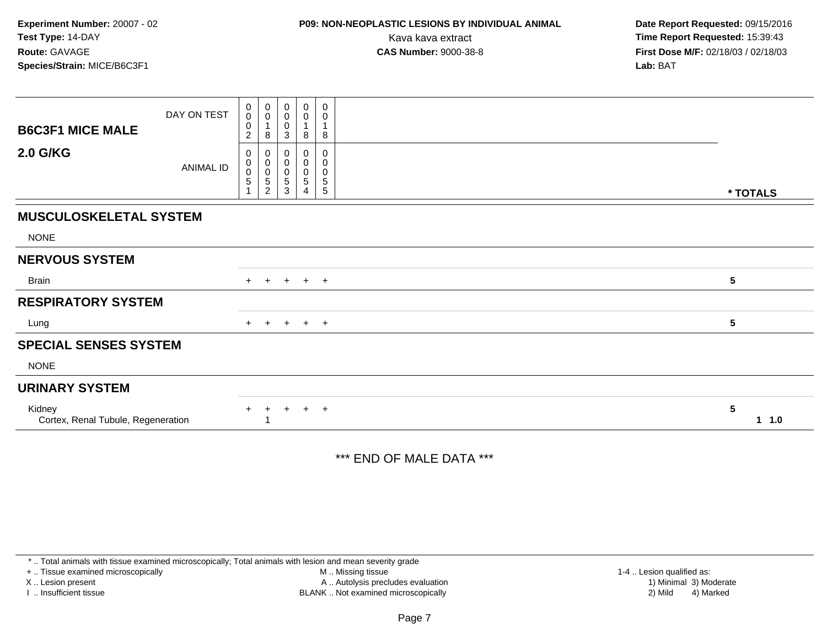### **P09: NON-NEOPLASTIC LESIONS BY INDIVIDUAL ANIMAL**

 **Date Report Requested:** 09/15/2016 Kava kava extract **Time Report Requested:** 15:39:43<br>**CAS Number:** 9000-38-8 **Time Report Requested:** 15:39:43 **First Dose M/F:** 02/18/03 / 02/18/03<br>**Lab:** BAT **Lab:** BAT

| <b>B6C3F1 MICE MALE</b>                      | DAY ON TEST | 0<br>$\pmb{0}$<br>0<br>$\overline{c}$     | $\begin{smallmatrix}0\0\0\end{smallmatrix}$<br>8     | $\pmb{0}$<br>$\pmb{0}$<br>$\pmb{0}$<br>$\ensuremath{\mathsf{3}}$ | $\begin{smallmatrix} 0\\0 \end{smallmatrix}$<br>8 | $\boldsymbol{0}$<br>$\pmb{0}$<br>$\overline{1}$<br>8 |                                 |
|----------------------------------------------|-------------|-------------------------------------------|------------------------------------------------------|------------------------------------------------------------------|---------------------------------------------------|------------------------------------------------------|---------------------------------|
| <b>2.0 G/KG</b>                              | ANIMAL ID   | 0<br>$\mathbf 0$<br>0<br>5<br>$\mathbf 1$ | 0<br>0<br>$\pmb{0}$<br>$\mathbf 5$<br>$\overline{c}$ | 0<br>$\pmb{0}$<br>0<br>$\mathbf 5$<br>3                          | 0<br>$\pmb{0}$<br>0<br>$\sqrt{5}$<br>4            | 0<br>$\pmb{0}$<br>$\pmb{0}$<br>$\frac{5}{5}$         | * TOTALS                        |
| <b>MUSCULOSKELETAL SYSTEM</b>                |             |                                           |                                                      |                                                                  |                                                   |                                                      |                                 |
| <b>NONE</b>                                  |             |                                           |                                                      |                                                                  |                                                   |                                                      |                                 |
| <b>NERVOUS SYSTEM</b>                        |             |                                           |                                                      |                                                                  |                                                   |                                                      |                                 |
| <b>Brain</b>                                 |             |                                           | $+$ $+$                                              |                                                                  | $+$ $+$ $+$                                       |                                                      | 5                               |
| <b>RESPIRATORY SYSTEM</b>                    |             |                                           |                                                      |                                                                  |                                                   |                                                      |                                 |
| Lung                                         |             | $+$                                       | $+$                                                  |                                                                  | $+$ $+$ $+$                                       |                                                      | $\sqrt{5}$                      |
| <b>SPECIAL SENSES SYSTEM</b>                 |             |                                           |                                                      |                                                                  |                                                   |                                                      |                                 |
| <b>NONE</b>                                  |             |                                           |                                                      |                                                                  |                                                   |                                                      |                                 |
| <b>URINARY SYSTEM</b>                        |             |                                           |                                                      |                                                                  |                                                   |                                                      |                                 |
| Kidney<br>Cortex, Renal Tubule, Regeneration |             | $+$                                       | $+$                                                  | $+$                                                              | $+$                                               | $+$                                                  | $5\phantom{1}$<br>$1 \quad 1.0$ |

### \*\*\* END OF MALE DATA \*\*\*

\* .. Total animals with tissue examined microscopically; Total animals with lesion and mean severity grade

+ .. Tissue examined microscopically

X .. Lesion present

I .. Insufficient tissue

 M .. Missing tissueA .. Autolysis precludes evaluation

BLANK .. Not examined microscopically 2) Mild 4) Marked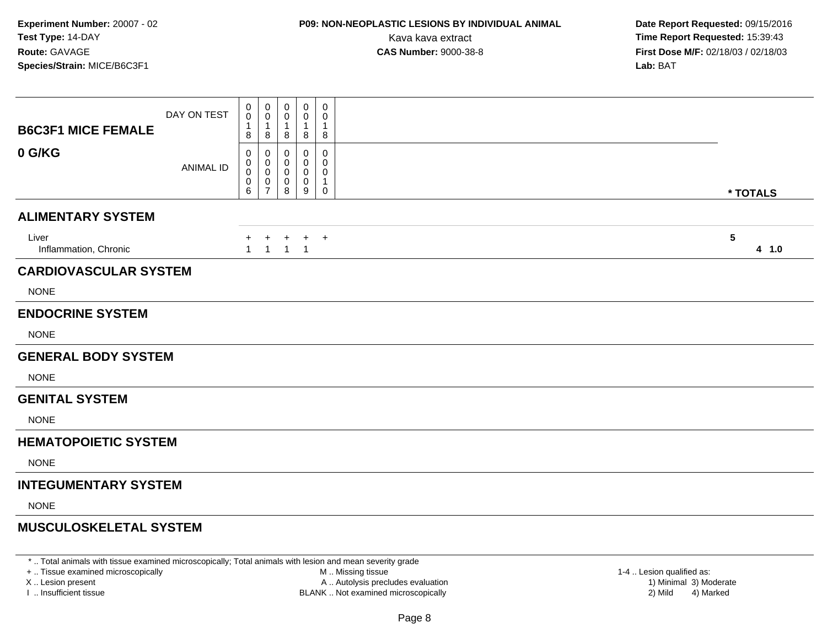# **P09: NON-NEOPLASTIC LESIONS BY INDIVIDUAL ANIMAL**

 **Date Report Requested:** 09/15/2016 Kava kava extract **Time Report Requested:** 15:39:43<br>**CAS Number:** 9000-38-8 **Time Report Requested:** 15:39:43 **First Dose M/F:** 02/18/03 / 02/18/03<br>**Lab:** BAT **Lab:** BAT

| <b>B6C3F1 MICE FEMALE</b>      | DAY ON TEST      | 0<br>$\mathbf 0$<br>1<br>8 | 0<br>0<br>1<br>8                   | $\mathbf 0$<br>0<br>$\mathbf{1}$<br>8 | 0<br>0<br>1<br>8      | 0<br>0<br>$\mathbf{1}$<br>8                |                          |
|--------------------------------|------------------|----------------------------|------------------------------------|---------------------------------------|-----------------------|--------------------------------------------|--------------------------|
| 0 G/KG                         | <b>ANIMAL ID</b> | 0<br>0<br>0<br>0<br>6      | 0<br>0<br>0<br>0<br>$\overline{7}$ | 0<br>0<br>0<br>0<br>8                 | 0<br>0<br>0<br>0<br>9 | 0<br>0<br>0<br>$\mathbf{1}$<br>$\mathbf 0$ | * TOTALS                 |
| <b>ALIMENTARY SYSTEM</b>       |                  |                            |                                    |                                       |                       |                                            |                          |
| Liver<br>Inflammation, Chronic |                  | +<br>$\mathbf{1}$          | $\ddot{}$<br>1                     | $\ddot{}$<br>$\mathbf{1}$             | $+$<br>$\overline{1}$ | $+$                                        | $5\phantom{.0}$<br>4 1.0 |
| <b>CARDIOVASCULAR SYSTEM</b>   |                  |                            |                                    |                                       |                       |                                            |                          |
| <b>NONE</b>                    |                  |                            |                                    |                                       |                       |                                            |                          |
| <b>ENDOCRINE SYSTEM</b>        |                  |                            |                                    |                                       |                       |                                            |                          |
| <b>NONE</b>                    |                  |                            |                                    |                                       |                       |                                            |                          |
| <b>GENERAL BODY SYSTEM</b>     |                  |                            |                                    |                                       |                       |                                            |                          |
| <b>NONE</b>                    |                  |                            |                                    |                                       |                       |                                            |                          |
| <b>GENITAL SYSTEM</b>          |                  |                            |                                    |                                       |                       |                                            |                          |
| <b>NONE</b>                    |                  |                            |                                    |                                       |                       |                                            |                          |
| <b>HEMATOPOIETIC SYSTEM</b>    |                  |                            |                                    |                                       |                       |                                            |                          |
| <b>NONE</b>                    |                  |                            |                                    |                                       |                       |                                            |                          |
| <b>INTEGUMENTARY SYSTEM</b>    |                  |                            |                                    |                                       |                       |                                            |                          |
| <b>NONE</b>                    |                  |                            |                                    |                                       |                       |                                            |                          |
| <b>MUSCULOSKELETAL SYSTEM</b>  |                  |                            |                                    |                                       |                       |                                            |                          |

\* .. Total animals with tissue examined microscopically; Total animals with lesion and mean severity grade

+ .. Tissue examined microscopically

X .. Lesion present

I .. Insufficient tissue

 M .. Missing tissueA .. Autolysis precludes evaluation

BLANK .. Not examined microscopically 2) Mild 4) Marked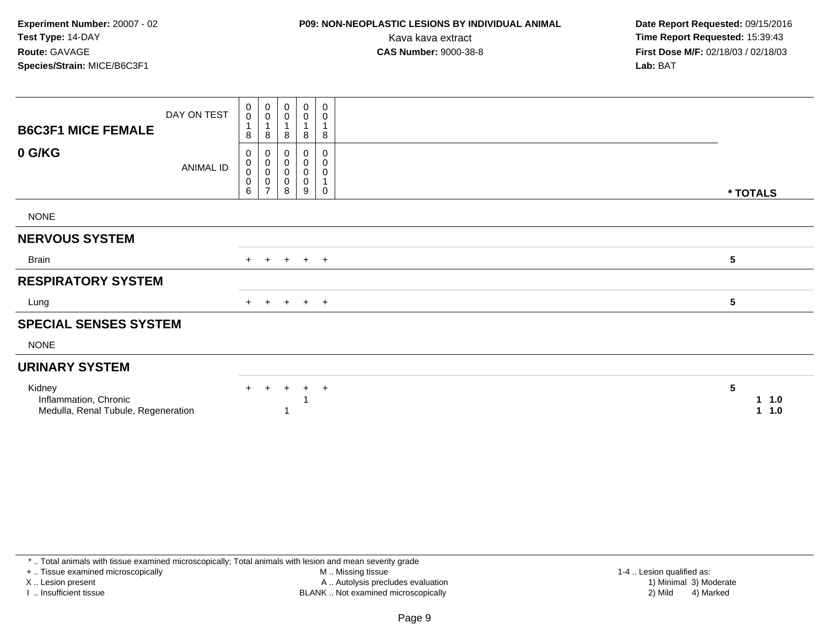# **P09: NON-NEOPLASTIC LESIONS BY INDIVIDUAL ANIMAL**

 **Date Report Requested:** 09/15/2016 Kava kava extract **Time Report Requested:** 15:39:43<br>**CAS Number:** 9000-38-8 **Time Report Requested:** 15:39:43 **First Dose M/F:** 02/18/03 / 02/18/03<br>**Lab:** BAT **Lab:** BAT

| <b>B6C3F1 MICE FEMALE</b>                                              | DAY ON TEST | $\pmb{0}$<br>$\pmb{0}$<br>$\mathbf{1}$<br>8   | $\begin{smallmatrix} 0\\0 \end{smallmatrix}$<br>$\overline{A}$<br>8 | $\,0\,$<br>0<br>8        | $\begin{smallmatrix} 0\\0 \end{smallmatrix}$<br>8 | 0<br>0<br>8           |                 |                    |
|------------------------------------------------------------------------|-------------|-----------------------------------------------|---------------------------------------------------------------------|--------------------------|---------------------------------------------------|-----------------------|-----------------|--------------------|
| 0 G/KG                                                                 | ANIMAL ID   | 0<br>$\pmb{0}$<br>$\pmb{0}$<br>$\pmb{0}$<br>6 | 0<br>$\pmb{0}$<br>$\mathbf 0$<br>$\pmb{0}$<br>$\overline{ }$        | 0<br>0<br>$\pmb{0}$<br>8 | 0<br>0<br>$\pmb{0}$<br>$\mathbf 0$<br>9           | 0<br>0<br>0<br>1<br>0 | * TOTALS        |                    |
| <b>NONE</b>                                                            |             |                                               |                                                                     |                          |                                                   |                       |                 |                    |
| <b>NERVOUS SYSTEM</b>                                                  |             |                                               |                                                                     |                          |                                                   |                       |                 |                    |
| <b>Brain</b>                                                           |             |                                               | $+$ $+$                                                             |                          | $+$ $+$ $+$                                       |                       | $\sqrt{5}$      |                    |
| <b>RESPIRATORY SYSTEM</b>                                              |             |                                               |                                                                     |                          |                                                   |                       |                 |                    |
| Lung                                                                   |             |                                               | $+$ $+$                                                             |                          | $+$ $+$ $+$                                       |                       | $5\phantom{.0}$ |                    |
| <b>SPECIAL SENSES SYSTEM</b>                                           |             |                                               |                                                                     |                          |                                                   |                       |                 |                    |
| <b>NONE</b>                                                            |             |                                               |                                                                     |                          |                                                   |                       |                 |                    |
| <b>URINARY SYSTEM</b>                                                  |             |                                               |                                                                     |                          |                                                   |                       |                 |                    |
| Kidney<br>Inflammation, Chronic<br>Medulla, Renal Tubule, Regeneration |             | $+$                                           | $+$                                                                 | $+$                      | $+$                                               | $+$                   | 5               | 1.0<br>1.<br>1 1.0 |

\* .. Total animals with tissue examined microscopically; Total animals with lesion and mean severity grade

+ .. Tissue examined microscopically

X .. Lesion present

I .. Insufficient tissue

 M .. Missing tissueLesion present A .. Autolysis precludes evaluation 1) Minimal 3) Moderate

BLANK .. Not examined microscopically 2) Mild 4) Marked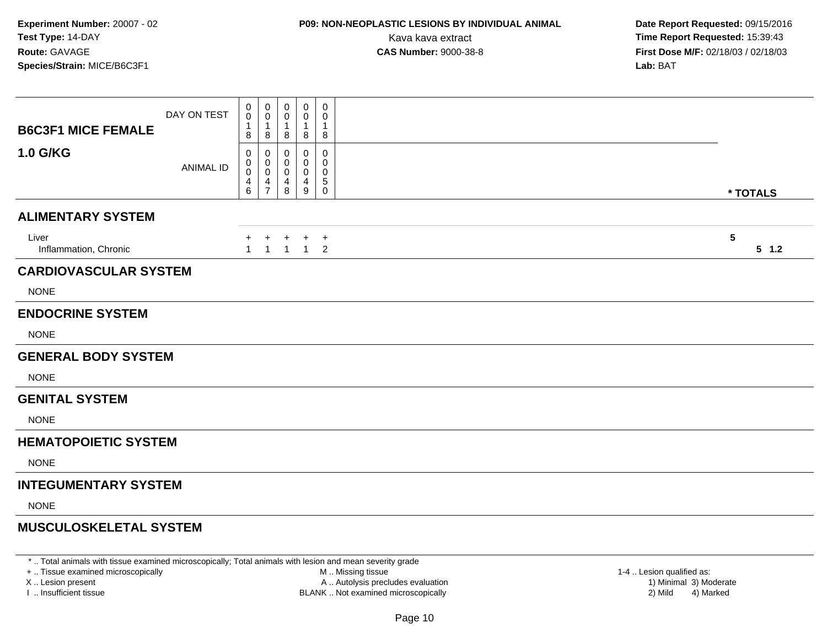# **P09: NON-NEOPLASTIC LESIONS BY INDIVIDUAL ANIMAL**

 **Date Report Requested:** 09/15/2016 Kava kava extract **Time Report Requested:** 15:39:43<br>**CAS Number:** 9000-38-8 **Time Report Requested:** 15:39:43 **First Dose M/F:** 02/18/03 / 02/18/03<br>**Lab:** BAT **Lab:** BAT

| <b>B6C3F1 MICE FEMALE</b>      | DAY ON TEST      | 0<br>0<br>8                                 | 0<br>0<br>$\mathbf 1$<br>8                            | 0<br>0<br>$\mathbf 1$<br>8   | 0<br>0<br>1<br>8           | 0<br>0<br>$\mathbf{1}$<br>8              |                 |          |
|--------------------------------|------------------|---------------------------------------------|-------------------------------------------------------|------------------------------|----------------------------|------------------------------------------|-----------------|----------|
| <b>1.0 G/KG</b>                | <b>ANIMAL ID</b> | 0<br>0<br>0<br>$\overline{\mathbf{4}}$<br>6 | 0<br>0<br>$\,0\,$<br>$\overline{4}$<br>$\overline{7}$ | $\Omega$<br>0<br>0<br>4<br>8 | 0<br>0<br>0<br>4<br>9      | 0<br>0<br>0<br>$\sqrt{5}$<br>$\mathbf 0$ |                 | * TOTALS |
| <b>ALIMENTARY SYSTEM</b>       |                  |                                             |                                                       |                              |                            |                                          |                 |          |
| Liver<br>Inflammation, Chronic |                  | $+$<br>$\overline{1}$                       | $+$                                                   | $\ddot{}$                    | $+$<br>$1 \quad 1 \quad 1$ | $+$<br>$\overline{2}$                    | $5\phantom{.0}$ | $5$ 1.2  |
| <b>CARDIOVASCULAR SYSTEM</b>   |                  |                                             |                                                       |                              |                            |                                          |                 |          |
| <b>NONE</b>                    |                  |                                             |                                                       |                              |                            |                                          |                 |          |
| <b>ENDOCRINE SYSTEM</b>        |                  |                                             |                                                       |                              |                            |                                          |                 |          |
| <b>NONE</b>                    |                  |                                             |                                                       |                              |                            |                                          |                 |          |
| <b>GENERAL BODY SYSTEM</b>     |                  |                                             |                                                       |                              |                            |                                          |                 |          |
| <b>NONE</b>                    |                  |                                             |                                                       |                              |                            |                                          |                 |          |
| <b>GENITAL SYSTEM</b>          |                  |                                             |                                                       |                              |                            |                                          |                 |          |
| <b>NONE</b>                    |                  |                                             |                                                       |                              |                            |                                          |                 |          |
| <b>HEMATOPOIETIC SYSTEM</b>    |                  |                                             |                                                       |                              |                            |                                          |                 |          |
| <b>NONE</b>                    |                  |                                             |                                                       |                              |                            |                                          |                 |          |
| <b>INTEGUMENTARY SYSTEM</b>    |                  |                                             |                                                       |                              |                            |                                          |                 |          |
| <b>NONE</b>                    |                  |                                             |                                                       |                              |                            |                                          |                 |          |
| <b>MUSCULOSKELETAL SYSTEM</b>  |                  |                                             |                                                       |                              |                            |                                          |                 |          |

\* .. Total animals with tissue examined microscopically; Total animals with lesion and mean severity grade

+ .. Tissue examined microscopically

X .. Lesion present

I .. Insufficient tissue

 M .. Missing tissueLesion present A .. Autolysis precludes evaluation 1) Minimal 3) Moderate

BLANK .. Not examined microscopically 2) Mild 4) Marked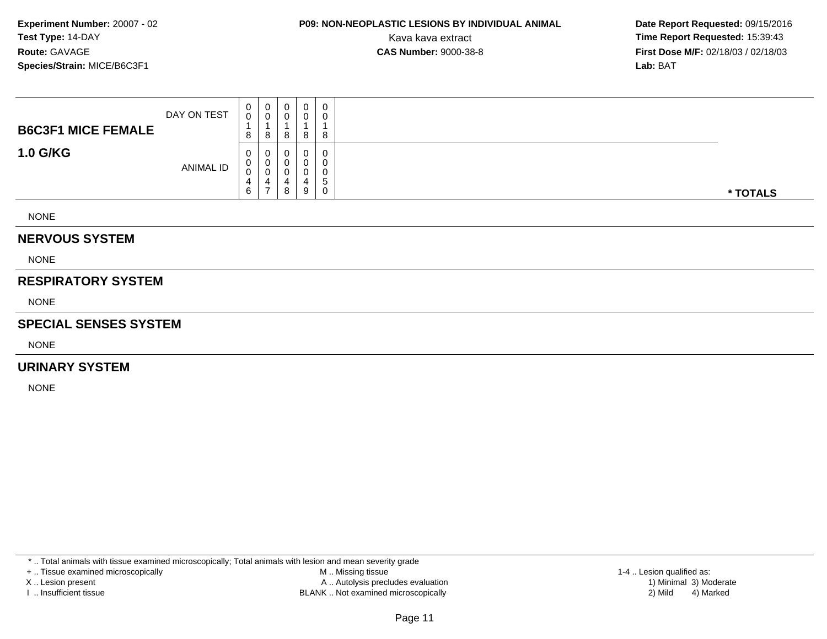# **P09: NON-NEOPLASTIC LESIONS BY INDIVIDUAL ANIMAL**

 **Date Report Requested:** 09/15/2016 Kava kava extract **Time Report Requested:** 15:39:43<br>**CAS Number:** 9000-38-8 **Time Report Requested:** 15:39:43 **First Dose M/F:** 02/18/03 / 02/18/03<br>**Lab:** BAT **Lab:** BAT

|                           | <b>ANIMAL ID</b> | 0<br><sup>n</sup><br>U<br>4<br>6 | 0<br>0<br>4<br>$\overline{ }$ | 4<br>8         | 9      | 0<br>0<br>G<br>0 | * TOTALS |
|---------------------------|------------------|----------------------------------|-------------------------------|----------------|--------|------------------|----------|
| <b>1.0 G/KG</b>           |                  | 8<br>0                           | 8<br>0                        | 8              | 8<br>0 | 8<br>0           |          |
| <b>B6C3F1 MICE FEMALE</b> | DAY ON TEST      | $\mathbf{0}$<br>0                | 0<br>0                        | $\overline{0}$ | 0      | 0<br>0           |          |

#### **NERVOUS SYSTEM**

NONE

#### **RESPIRATORY SYSTEM**

NONE

#### **SPECIAL SENSES SYSTEM**

NONE

#### **URINARY SYSTEM**

NONE

\* .. Total animals with tissue examined microscopically; Total animals with lesion and mean severity grade

+ .. Tissue examined microscopically

X .. Lesion present

I .. Insufficient tissue

 M .. Missing tissueA .. Autolysis precludes evaluation

BLANK .. Not examined microscopically 2) Mild 4) Marked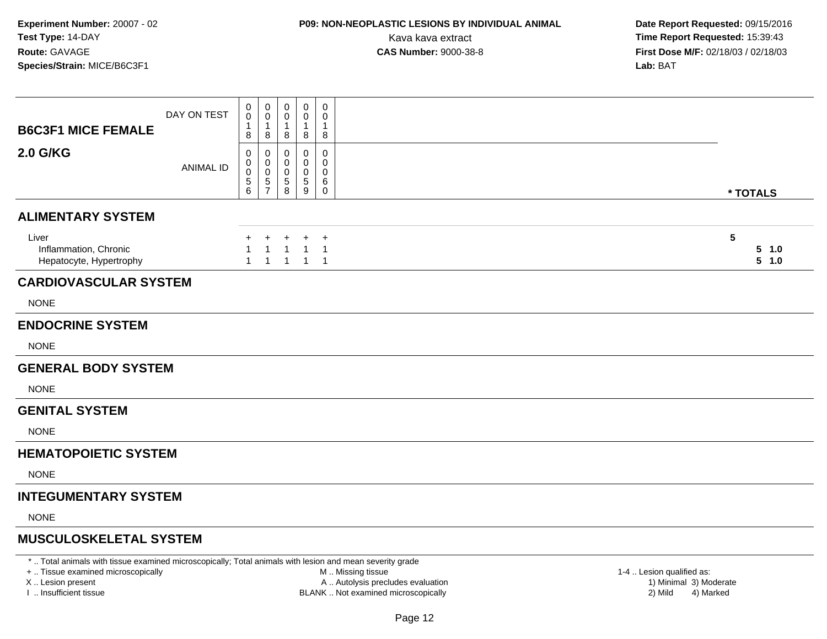### **P09: NON-NEOPLASTIC LESIONS BY INDIVIDUAL ANIMAL**

 **Date Report Requested:** 09/15/2016 Kava kava extract **Time Report Requested:** 15:39:43<br>**CAS Number:** 9000-38-8 **Time Report Requested:** 15:39:43 **First Dose M/F:** 02/18/03 / 02/18/03<br>**Lab:** BAT **Lab:** BAT

| <b>B6C3F1 MICE FEMALE</b>                                                                               | DAY ON TEST      | 0<br>$\mathbf 0$<br>8                       | $\mathbf 0$<br>$\mathbf 0$<br>-1<br>8  | 0<br>$\mathbf 0$<br>1<br>8                 | $\mathbf 0$<br>0<br>1<br>8       | $\mathbf 0$<br>$\Omega$<br>-1<br>8            |                     |
|---------------------------------------------------------------------------------------------------------|------------------|---------------------------------------------|----------------------------------------|--------------------------------------------|----------------------------------|-----------------------------------------------|---------------------|
| <b>2.0 G/KG</b>                                                                                         | <b>ANIMAL ID</b> | 0<br>0<br>0<br>$\sqrt{5}$<br>$6\phantom{a}$ | 0<br>0<br>$\mathbf 0$<br>$\frac{5}{7}$ | 0<br>0<br>$\Omega$<br>$\sqrt{5}$<br>8      | 0<br>0<br>0<br>5<br>9            | $\mathbf 0$<br>0<br>$\Omega$<br>6<br>$\Omega$ | * TOTALS            |
| <b>ALIMENTARY SYSTEM</b>                                                                                |                  |                                             |                                        |                                            |                                  |                                               |                     |
| Liver<br>Inflammation, Chronic<br>Hepatocyte, Hypertrophy                                               |                  | $\mathbf{1}$                                | $\ddot{}$<br>$\mathbf{1}$              | $\ddot{}$<br>$\overline{1}$<br>$1 \quad 1$ | +<br>$\mathbf{1}$<br>$1 \quad 1$ | $\ddot{}$<br>-1                               | 5<br>5 1.0<br>5 1.0 |
| <b>CARDIOVASCULAR SYSTEM</b>                                                                            |                  |                                             |                                        |                                            |                                  |                                               |                     |
| <b>NONE</b>                                                                                             |                  |                                             |                                        |                                            |                                  |                                               |                     |
| <b>ENDOCRINE SYSTEM</b>                                                                                 |                  |                                             |                                        |                                            |                                  |                                               |                     |
| <b>NONE</b>                                                                                             |                  |                                             |                                        |                                            |                                  |                                               |                     |
| <b>GENERAL BODY SYSTEM</b>                                                                              |                  |                                             |                                        |                                            |                                  |                                               |                     |
| <b>NONE</b>                                                                                             |                  |                                             |                                        |                                            |                                  |                                               |                     |
| <b>GENITAL SYSTEM</b>                                                                                   |                  |                                             |                                        |                                            |                                  |                                               |                     |
| <b>NONE</b>                                                                                             |                  |                                             |                                        |                                            |                                  |                                               |                     |
| <b>HEMATOPOIETIC SYSTEM</b>                                                                             |                  |                                             |                                        |                                            |                                  |                                               |                     |
| <b>NONE</b>                                                                                             |                  |                                             |                                        |                                            |                                  |                                               |                     |
| <b>INTEGUMENTARY SYSTEM</b>                                                                             |                  |                                             |                                        |                                            |                                  |                                               |                     |
| <b>NONE</b>                                                                                             |                  |                                             |                                        |                                            |                                  |                                               |                     |
| <b>MUSCULOSKELETAL SYSTEM</b>                                                                           |                  |                                             |                                        |                                            |                                  |                                               |                     |
| * Total opimals with tissue examined microscopically: Total opimals with logion and mean equarity arade |                  |                                             |                                        |                                            |                                  |                                               |                     |

\* .. Total animals with tissue examined microscopically; Total animals with lesion and mean severity grade

+ .. Tissue examined microscopically

X .. Lesion present

I .. Insufficient tissue

M .. Missing tissue

A .. Autolysis precludes evaluation

BLANK .. Not examined microscopically 2) Mild 4) Marked